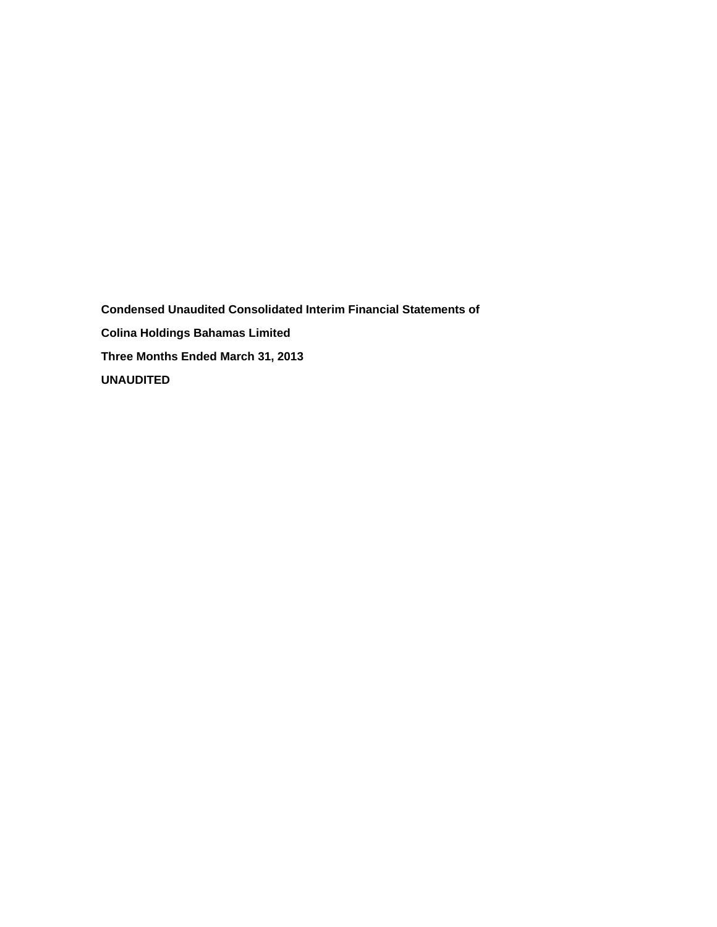**Condensed Unaudited Consolidated Interim Financial Statements of Colina Holdings Bahamas Limited Three Months Ended March 31, 2013 UNAUDITED**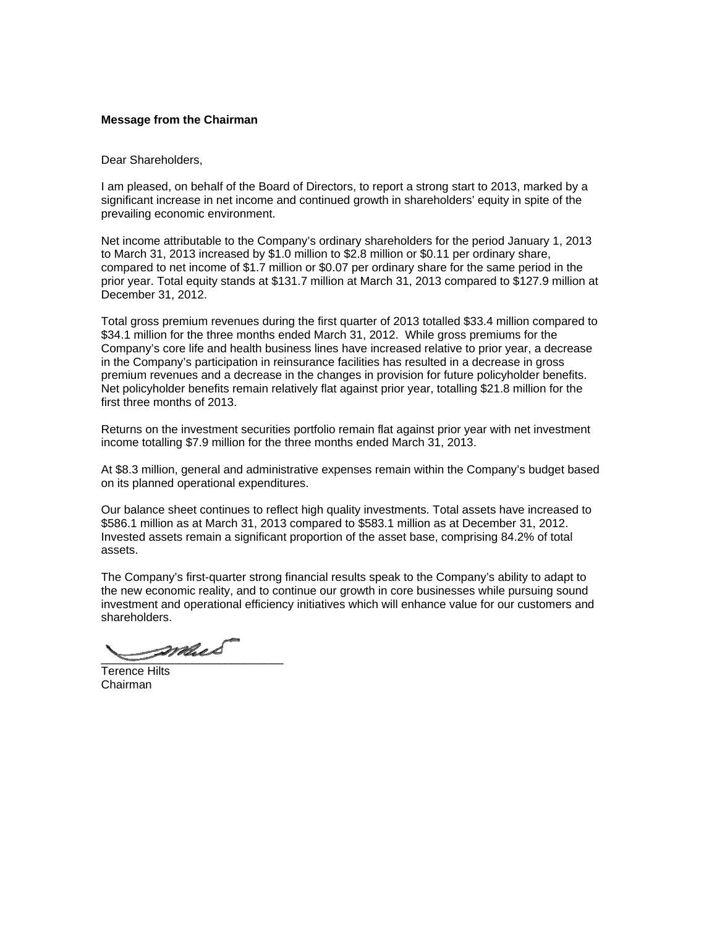## **Message from the Chairman**

Dear Shareholders,

I am pleased, on behalf of the Board of Directors, to report a strong start to 2013, marked by a significant increase in net income and continued growth in shareholders' equity in spite of the prevailing economic environment.

Net income attributable to the Company's ordinary shareholders for the period January 1, 2013 to March 31, 2013 increased by \$1.0 million to \$2.8 million or \$0.11 per ordinary share, compared to net income of \$1.7 million or \$0.07 per ordinary share for the same period in the prior year. Total equity stands at \$131.7 million at March 31, 2013 compared to \$127.9 million at December 31, 2012.

Total gross premium revenues during the first quarter of 2013 totalled \$33.4 million compared to \$34.1 million for the three months ended March 31, 2012. While gross premiums for the Company's core life and health business lines have increased relative to prior year, a decrease in the Company's participation in reinsurance facilities has resulted in a decrease in gross premium revenues and a decrease in the changes in provision for future policyholder benefits. Net policyholder benefits remain relatively flat against prior year, totalling \$21.8 million for the first three months of 2013.

Returns on the investment securities portfolio remain flat against prior year with net investment income totalling \$7.9 million for the three months ended March 31, 2013.

At \$8.3 million, general and administrative expenses remain within the Company's budget based on its planned operational expenditures.

Our balance sheet continues to reflect high quality investments. Total assets have increased to \$586.1 million as at March 31, 2013 compared to \$583.1 million as at December 31, 2012. Invested assets remain a significant proportion of the asset base, comprising 84.2% of total assets.

The Company's first-quarter strong financial results speak to the Company's ability to adapt to the new economic reality, and to continue our growth in core businesses while pursuing sound investment and operational efficiency initiatives which will enhance value for our customers and shareholders.

\_\_\_\_\_\_\_\_\_\_\_\_\_\_\_\_\_\_\_\_\_\_\_\_\_\_\_\_

Terence Hilts Chairman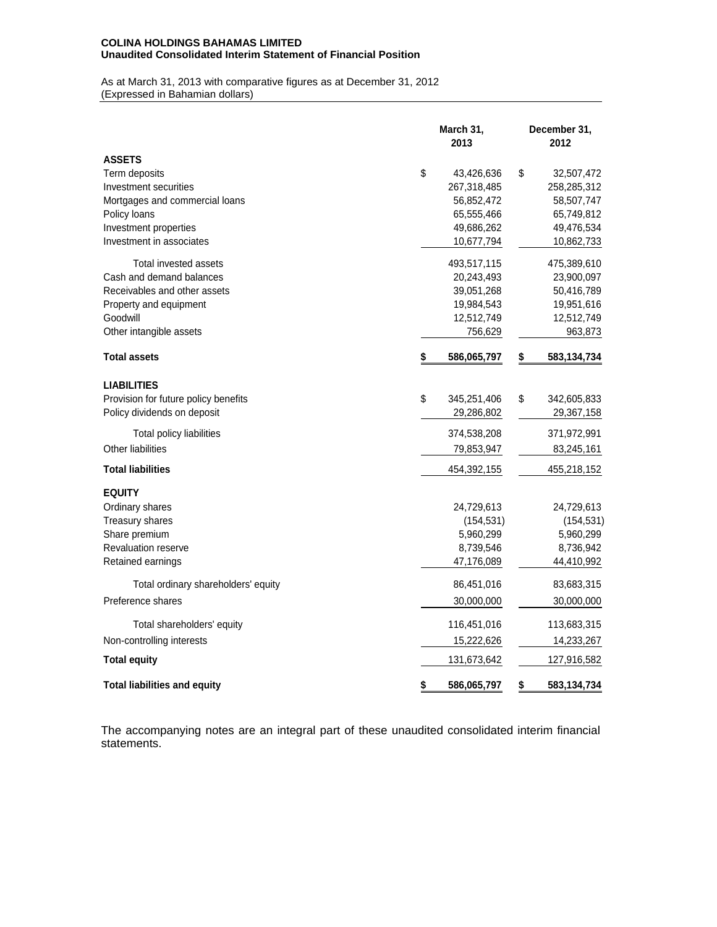## **COLINA HOLDINGS BAHAMAS LIMITED Unaudited Consolidated Interim Statement of Financial Position**

As at March 31, 2013 with comparative figures as at December 31, 2012 (Expressed in Bahamian dollars)

|                                      | March 31,<br>2013 |             | December 31,<br>2012 |             |  |
|--------------------------------------|-------------------|-------------|----------------------|-------------|--|
| <b>ASSETS</b>                        |                   |             |                      |             |  |
| Term deposits                        | \$                | 43,426,636  | \$                   | 32,507,472  |  |
| Investment securities                |                   | 267,318,485 |                      | 258,285,312 |  |
| Mortgages and commercial loans       |                   | 56,852,472  |                      | 58,507,747  |  |
| Policy loans                         |                   | 65,555,466  |                      | 65,749,812  |  |
| Investment properties                |                   | 49,686,262  |                      | 49,476,534  |  |
| Investment in associates             |                   | 10,677,794  |                      | 10,862,733  |  |
| Total invested assets                |                   | 493,517,115 |                      | 475,389,610 |  |
| Cash and demand balances             |                   | 20,243,493  |                      | 23,900,097  |  |
| Receivables and other assets         |                   | 39,051,268  |                      | 50,416,789  |  |
| Property and equipment               |                   | 19,984,543  |                      | 19,951,616  |  |
| Goodwill                             |                   | 12,512,749  |                      | 12,512,749  |  |
| Other intangible assets              |                   | 756,629     |                      | 963,873     |  |
| <b>Total assets</b>                  | \$                | 586,065,797 | \$                   | 583,134,734 |  |
| <b>LIABILITIES</b>                   |                   |             |                      |             |  |
| Provision for future policy benefits | \$                | 345,251,406 | \$                   | 342,605,833 |  |
| Policy dividends on deposit          |                   | 29,286,802  |                      | 29,367,158  |  |
| Total policy liabilities             |                   | 374,538,208 |                      | 371,972,991 |  |
| Other liabilities                    |                   | 79,853,947  |                      | 83,245,161  |  |
| <b>Total liabilities</b>             |                   | 454,392,155 |                      | 455,218,152 |  |
| <b>EQUITY</b>                        |                   |             |                      |             |  |
| Ordinary shares                      |                   | 24,729,613  |                      | 24,729,613  |  |
| Treasury shares                      |                   | (154, 531)  |                      | (154, 531)  |  |
| Share premium                        |                   | 5,960,299   |                      | 5,960,299   |  |
| <b>Revaluation reserve</b>           |                   | 8,739,546   |                      | 8,736,942   |  |
| Retained earnings                    |                   | 47,176,089  |                      | 44,410,992  |  |
| Total ordinary shareholders' equity  |                   | 86,451,016  |                      | 83,683,315  |  |
| Preference shares                    |                   | 30,000,000  |                      | 30,000,000  |  |
| Total shareholders' equity           |                   | 116,451,016 |                      | 113,683,315 |  |
| Non-controlling interests            |                   | 15,222,626  |                      | 14,233,267  |  |
| <b>Total equity</b>                  |                   | 131,673,642 |                      | 127,916,582 |  |
| <b>Total liabilities and equity</b>  | \$                | 586,065,797 | \$                   | 583,134,734 |  |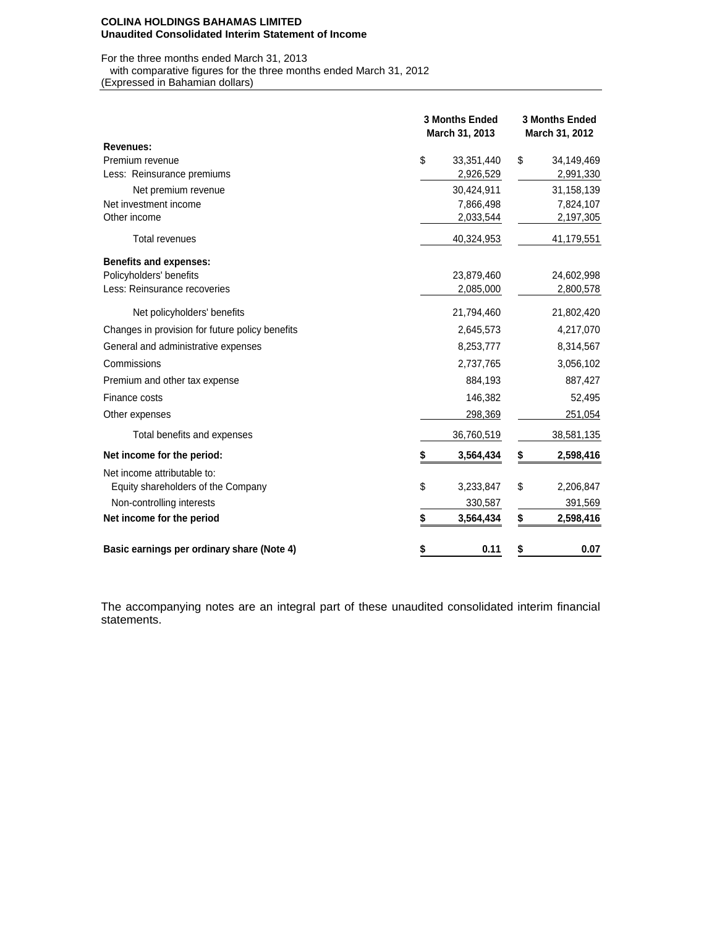#### **COLINA HOLDINGS BAHAMAS LIMITED Unaudited Consolidated Interim Statement of Income**

For the three months ended March 31, 2013 with comparative figures for the three months ended March 31, 2012

(Expressed in Bahamian dollars)

|                                                 | <b>3 Months Ended</b><br>March 31, 2013 |            | <b>3 Months Ended</b><br>March 31, 2012 |            |  |
|-------------------------------------------------|-----------------------------------------|------------|-----------------------------------------|------------|--|
| <b>Revenues:</b>                                |                                         |            |                                         |            |  |
| Premium revenue                                 | \$                                      | 33,351,440 | \$                                      | 34,149,469 |  |
| Less: Reinsurance premiums                      |                                         | 2,926,529  |                                         | 2,991,330  |  |
| Net premium revenue                             |                                         | 30,424,911 |                                         | 31,158,139 |  |
| Net investment income                           |                                         | 7,866,498  |                                         | 7,824,107  |  |
| Other income                                    |                                         | 2,033,544  |                                         | 2,197,305  |  |
| <b>Total revenues</b>                           |                                         | 40,324,953 |                                         | 41,179,551 |  |
| <b>Benefits and expenses:</b>                   |                                         |            |                                         |            |  |
| Policyholders' benefits                         |                                         | 23,879,460 |                                         | 24,602,998 |  |
| Less: Reinsurance recoveries                    |                                         | 2,085,000  |                                         | 2,800,578  |  |
| Net policyholders' benefits                     |                                         | 21,794,460 |                                         | 21,802,420 |  |
| Changes in provision for future policy benefits |                                         | 2,645,573  |                                         | 4,217,070  |  |
| General and administrative expenses             |                                         | 8,253,777  |                                         | 8,314,567  |  |
| Commissions                                     |                                         | 2,737,765  |                                         | 3,056,102  |  |
| Premium and other tax expense                   |                                         | 884,193    |                                         | 887,427    |  |
| Finance costs                                   |                                         | 146,382    |                                         | 52,495     |  |
| Other expenses                                  |                                         | 298,369    |                                         | 251,054    |  |
| Total benefits and expenses                     |                                         | 36,760,519 |                                         | 38,581,135 |  |
| Net income for the period:                      |                                         | 3,564,434  | \$                                      | 2,598,416  |  |
| Net income attributable to:                     |                                         |            |                                         |            |  |
| Equity shareholders of the Company              | \$                                      | 3,233,847  | \$                                      | 2,206,847  |  |
| Non-controlling interests                       |                                         | 330,587    |                                         | 391,569    |  |
| Net income for the period                       | \$                                      | 3,564,434  | \$                                      | 2,598,416  |  |
| Basic earnings per ordinary share (Note 4)      | \$                                      | 0.11       | \$                                      | 0.07       |  |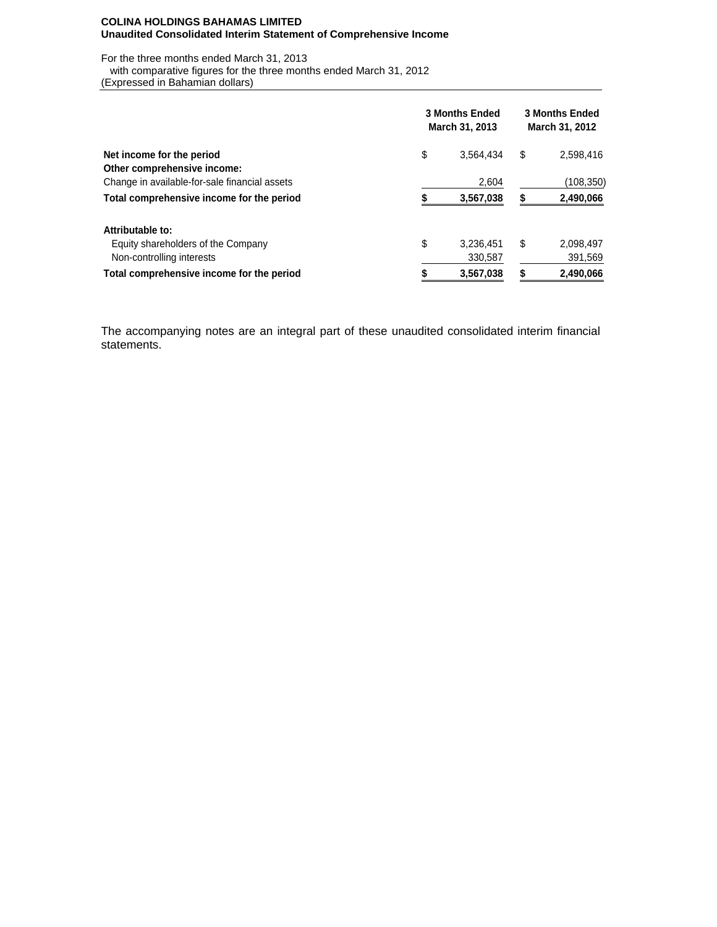#### **COLINA HOLDINGS BAHAMAS LIMITED Unaudited Consolidated Interim Statement of Comprehensive Income**

For the three months ended March 31, 2013

with comparative figures for the three months ended March 31, 2012

(Expressed in Bahamian dollars)

|                                               | <b>3 Months Ended</b><br>March 31, 2013 | <b>3 Months Ended</b><br>March 31, 2012 |    |            |
|-----------------------------------------------|-----------------------------------------|-----------------------------------------|----|------------|
| Net income for the period                     | \$                                      | 3,564,434                               | \$ | 2,598,416  |
| Other comprehensive income:                   |                                         |                                         |    |            |
| Change in available-for-sale financial assets |                                         | 2,604                                   |    | (108, 350) |
| Total comprehensive income for the period     |                                         | 3,567,038                               | S  | 2,490,066  |
| Attributable to:                              |                                         |                                         |    |            |
| Equity shareholders of the Company            | \$                                      | 3.236.451                               | S  | 2,098,497  |
| Non-controlling interests                     |                                         | 330,587                                 |    | 391,569    |
| Total comprehensive income for the period     |                                         | 3,567,038                               |    | 2,490,066  |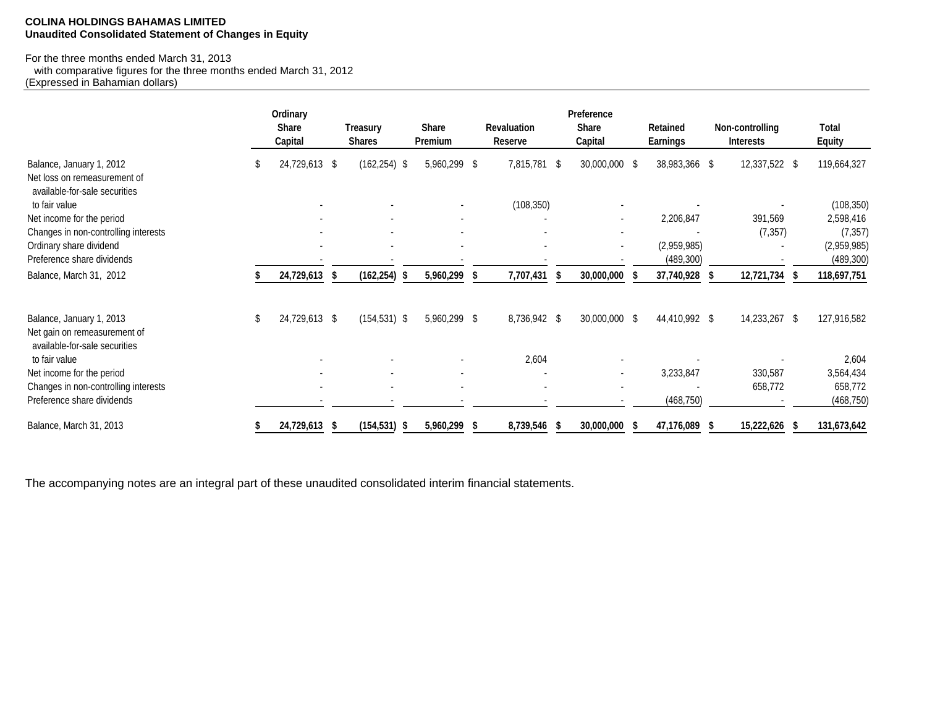## **COLINA HOLDINGS BAHAMAS LIMITED Unaudited Consolidated Statement of Changes in Equity**

## For the three months ended March 31, 2013

 with comparative figures for the three months ended March 31, 2012 (Expressed in Bahamian dollars)

|                                                                                           |   | Ordinary<br><b>Share</b><br>Capital | Treasury<br><b>Shares</b> | Share<br>Premium | <b>Revaluation</b><br>Reserve | Preference<br><b>Share</b><br>Capital | <b>Retained</b><br><b>Earnings</b> | Non-controlling<br><b>Interests</b> | Total<br><b>Equity</b>    |
|-------------------------------------------------------------------------------------------|---|-------------------------------------|---------------------------|------------------|-------------------------------|---------------------------------------|------------------------------------|-------------------------------------|---------------------------|
| Balance, January 1, 2012<br>Net loss on remeasurement of<br>available-for-sale securities | S | 24,729,613                          | - \$<br>$(162, 254)$ \$   | 5,960,299 \$     | 7,815,781                     | 30,000,000 \$<br>\$                   | 38,983,366 \$                      | 12,337,522 \$                       | 119,664,327               |
| to fair value                                                                             |   |                                     |                           |                  | (108, 350)                    |                                       |                                    |                                     | (108, 350)                |
| Net income for the period                                                                 |   |                                     |                           |                  |                               | ٠                                     | 2,206,847                          | 391,569                             | 2,598,416                 |
| Changes in non-controlling interests                                                      |   |                                     |                           |                  |                               |                                       |                                    | (7, 357)                            | (7, 357)                  |
| Ordinary share dividend<br>Preference share dividends                                     |   |                                     |                           |                  |                               | $\blacksquare$                        | (2,959,985)<br>(489, 300)          |                                     | (2,959,985)<br>(489, 300) |
| Balance, March 31, 2012                                                                   |   | 24,729,613                          | $(162, 254)$ \$<br>-S     | 5,960,299 \$     | 7,707,431                     | 30,000,000                            | 37,740,928                         | 12,721,734                          | 118,697,751               |
| Balance, January 1, 2013<br>Net gain on remeasurement of                                  | S | 24,729,613 \$                       | $(154, 531)$ \$           | 5,960,299 \$     | 8,736,942 \$                  | 30,000,000 \$                         | 44,410,992 \$                      | 14,233,267                          | 127,916,582<br>- \$       |
| available-for-sale securities<br>to fair value                                            |   |                                     |                           |                  | 2,604                         |                                       |                                    |                                     | 2,604                     |
| Net income for the period                                                                 |   |                                     | $\overline{\phantom{a}}$  |                  |                               | $\overline{\phantom{a}}$              | 3,233,847                          | 330,587                             | 3,564,434                 |
| Changes in non-controlling interests                                                      |   |                                     | $\overline{\phantom{a}}$  |                  |                               |                                       |                                    | 658,772                             | 658,772                   |
| Preference share dividends                                                                |   |                                     |                           |                  |                               |                                       | (468, 750)                         |                                     | (468, 750)                |
| Balance, March 31, 2013                                                                   |   | 24,729,613                          | $(154, 531)$ \$<br>-S     | 5,960,299 \$     | 8,739,546                     | 30,000,000<br>- 5                     | 47,176,089<br>-5                   | 15,222,626<br>- 5                   | 131,673,642               |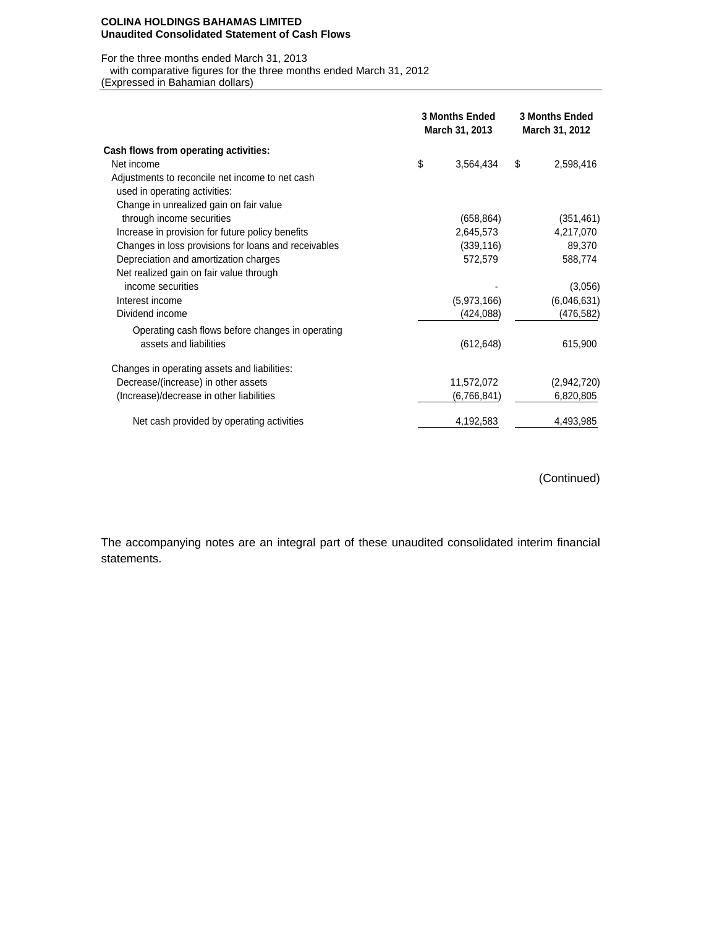#### **COLINA HOLDINGS BAHAMAS LIMITED Unaudited Consolidated Statement of Cash Flows**

## For the three months ended March 31, 2013

with comparative figures for the three months ended March 31, 2012

(Expressed in Bahamian dollars)

|                                                      | <b>3 Months Ended</b><br>March 31, 2013 | <b>3 Months Ended</b><br>March 31, 2012 |             |
|------------------------------------------------------|-----------------------------------------|-----------------------------------------|-------------|
| Cash flows from operating activities:                |                                         |                                         |             |
| Net income                                           | \$<br>3,564,434                         | \$                                      | 2,598,416   |
| Adjustments to reconcile net income to net cash      |                                         |                                         |             |
| used in operating activities:                        |                                         |                                         |             |
| Change in unrealized gain on fair value              |                                         |                                         |             |
| through income securities                            | (658, 864)                              |                                         | (351, 461)  |
| Increase in provision for future policy benefits     | 2,645,573                               |                                         | 4,217,070   |
| Changes in loss provisions for loans and receivables | (339, 116)                              |                                         | 89,370      |
| Depreciation and amortization charges                | 572,579                                 |                                         | 588,774     |
| Net realized gain on fair value through              |                                         |                                         |             |
| income securities                                    |                                         |                                         | (3,056)     |
| Interest income                                      | (5,973,166)                             |                                         | (6,046,631) |
| Dividend income                                      | (424, 088)                              |                                         | (476,582)   |
| Operating cash flows before changes in operating     |                                         |                                         |             |
| assets and liabilities                               | (612, 648)                              |                                         | 615,900     |
| Changes in operating assets and liabilities:         |                                         |                                         |             |
| Decrease/(increase) in other assets                  | 11,572,072                              |                                         | (2,942,720) |
| (Increase)/decrease in other liabilities             | (6,766,841)                             |                                         | 6,820,805   |
| Net cash provided by operating activities            | 4,192,583                               |                                         | 4,493,985   |

(Continued)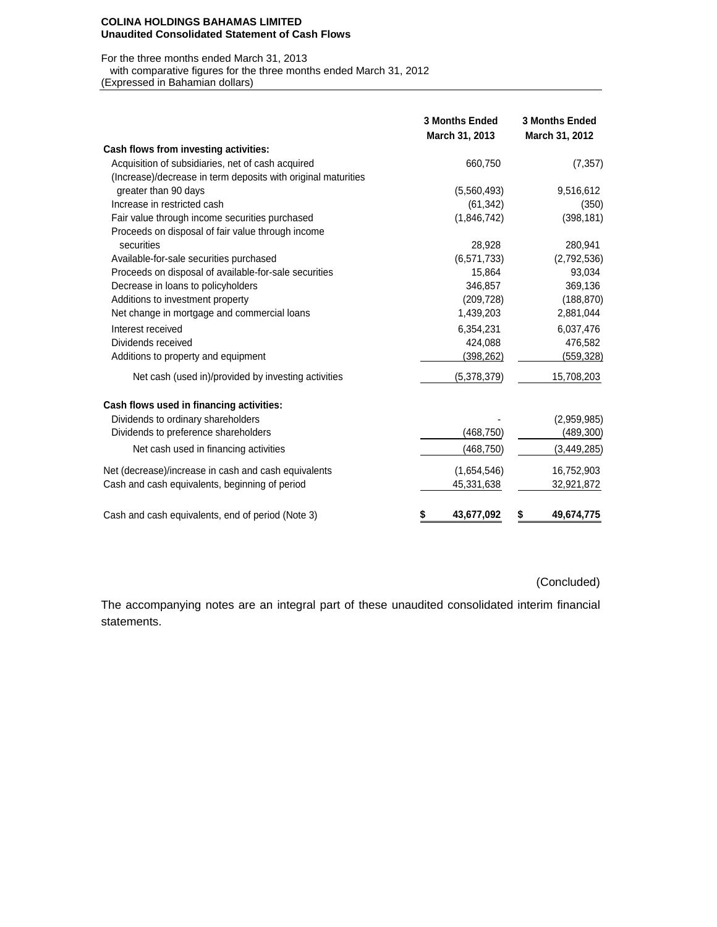#### **COLINA HOLDINGS BAHAMAS LIMITED Unaudited Consolidated Statement of Cash Flows**

## For the three months ended March 31, 2013

with comparative figures for the three months ended March 31, 2012

(Expressed in Bahamian dollars)

|                                                               | <b>3 Months Ended</b><br>March 31, 2013 | <b>3 Months Ended</b><br>March 31, 2012 |
|---------------------------------------------------------------|-----------------------------------------|-----------------------------------------|
| Cash flows from investing activities:                         |                                         |                                         |
| Acquisition of subsidiaries, net of cash acquired             | 660,750                                 | (7, 357)                                |
| (Increase)/decrease in term deposits with original maturities |                                         |                                         |
| greater than 90 days                                          | (5,560,493)                             | 9,516,612                               |
| Increase in restricted cash                                   | (61, 342)                               | (350)                                   |
| Fair value through income securities purchased                | (1,846,742)                             | (398, 181)                              |
| Proceeds on disposal of fair value through income             |                                         |                                         |
| securities                                                    | 28,928                                  | 280,941                                 |
| Available-for-sale securities purchased                       | (6, 571, 733)                           | (2,792,536)                             |
| Proceeds on disposal of available-for-sale securities         | 15,864                                  | 93,034                                  |
| Decrease in loans to policyholders                            | 346,857                                 | 369,136                                 |
| Additions to investment property                              | (209, 728)                              | (188, 870)                              |
| Net change in mortgage and commercial loans                   | 1,439,203                               | 2,881,044                               |
| Interest received                                             | 6,354,231                               | 6,037,476                               |
| Dividends received                                            | 424,088                                 | 476,582                                 |
| Additions to property and equipment                           | (398, 262)                              | (559, 328)                              |
| Net cash (used in)/provided by investing activities           | (5,378,379)                             | 15,708,203                              |
| Cash flows used in financing activities:                      |                                         |                                         |
| Dividends to ordinary shareholders                            |                                         | (2,959,985)                             |
| Dividends to preference shareholders                          | (468, 750)                              | (489,300)                               |
| Net cash used in financing activities                         | (468, 750)                              | (3,449,285)                             |
| Net (decrease)/increase in cash and cash equivalents          | (1,654,546)                             | 16,752,903                              |
| Cash and cash equivalents, beginning of period                | 45,331,638                              | 32,921,872                              |
| Cash and cash equivalents, end of period (Note 3)             | 43,677,092<br>\$                        | 49,674,775<br>5                         |

## (Concluded)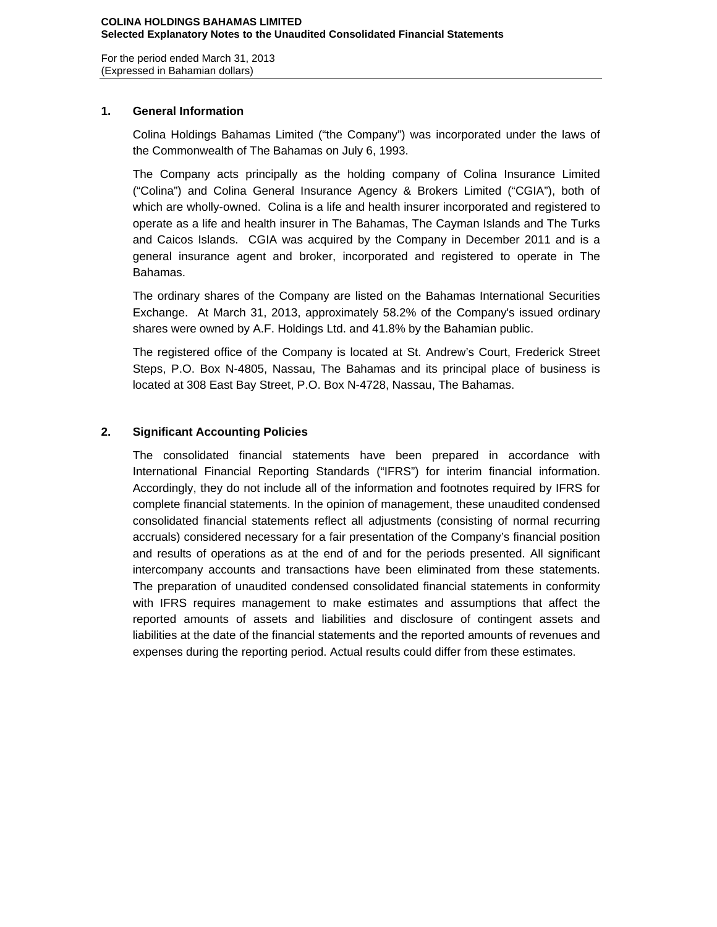For the period ended March 31, 2013 (Expressed in Bahamian dollars)

## **1. General Information**

Colina Holdings Bahamas Limited ("the Company") was incorporated under the laws of the Commonwealth of The Bahamas on July 6, 1993.

The Company acts principally as the holding company of Colina Insurance Limited ("Colina") and Colina General Insurance Agency & Brokers Limited ("CGIA"), both of which are wholly-owned. Colina is a life and health insurer incorporated and registered to operate as a life and health insurer in The Bahamas, The Cayman Islands and The Turks and Caicos Islands. CGIA was acquired by the Company in December 2011 and is a general insurance agent and broker, incorporated and registered to operate in The Bahamas.

The ordinary shares of the Company are listed on the Bahamas International Securities Exchange. At March 31, 2013, approximately 58.2% of the Company's issued ordinary shares were owned by A.F. Holdings Ltd. and 41.8% by the Bahamian public.

The registered office of the Company is located at St. Andrew's Court, Frederick Street Steps, P.O. Box N-4805, Nassau, The Bahamas and its principal place of business is located at 308 East Bay Street, P.O. Box N-4728, Nassau, The Bahamas.

# **2. Significant Accounting Policies**

The consolidated financial statements have been prepared in accordance with International Financial Reporting Standards ("IFRS") for interim financial information. Accordingly, they do not include all of the information and footnotes required by IFRS for complete financial statements. In the opinion of management, these unaudited condensed consolidated financial statements reflect all adjustments (consisting of normal recurring accruals) considered necessary for a fair presentation of the Company's financial position and results of operations as at the end of and for the periods presented. All significant intercompany accounts and transactions have been eliminated from these statements. The preparation of unaudited condensed consolidated financial statements in conformity with IFRS requires management to make estimates and assumptions that affect the reported amounts of assets and liabilities and disclosure of contingent assets and liabilities at the date of the financial statements and the reported amounts of revenues and expenses during the reporting period. Actual results could differ from these estimates.